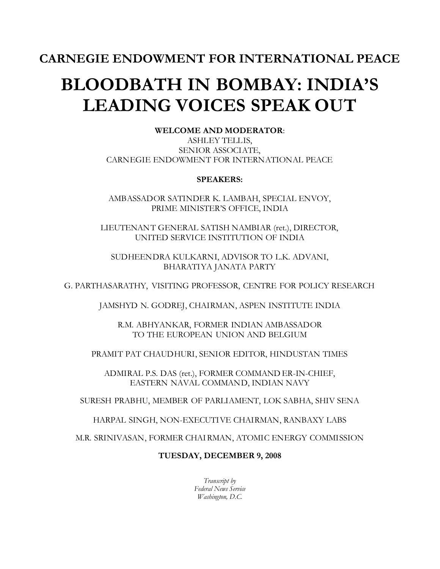# **BLOODBATH IN BOMBAY: INDIA'S LEADING VOICES SPEAK OUT**

**WELCOME AND MODERATOR**:

ASHLEY TELLIS, SENIOR ASSOCIATE, CARNEGIE ENDOWMENT FOR INTERNATIONAL PEACE

## **SPEAKERS:**

AMBASSADOR SATINDER K. LAMBAH, SPECIAL ENVOY, PRIME MINISTER'S OFFICE, INDIA

LIEUTENANT GENERAL SATISH NAMBIAR (ret.), DIRECTOR, UNITED SERVICE INSTITUTION OF INDIA

SUDHEENDRA KULKARNI, ADVISOR TO L.K. ADVANI, BHARATIYA JANATA PARTY

G. PARTHASARATHY, VISITING PROFESSOR, CENTRE FOR POLICY RESEARCH

JAMSHYD N. GODREJ, CHAIRMAN, ASPEN INSTITUTE INDIA

R.M. ABHYANKAR, FORMER INDIAN AMBASSADOR TO THE EUROPEAN UNION AND BELGIUM

PRAMIT PAT CHAUDHURI, SENIOR EDITOR, HINDUSTAN TIMES

ADMIRAL P.S. DAS (ret.), FORMER COMMAND ER-IN-CHIEF, EASTERN NAVAL COMMAND, INDIAN NAVY

SURESH PRABHU, MEMBER OF PARLIAMENT, LOK SABHA, SHIV SENA

HARPAL SINGH, NON-EXECUTIVE CHAIRMAN, RANBAXY LABS

M.R. SRINIVASAN, FORMER CHAI RMAN, ATOMIC ENERGY COMMISSION

## **TUESDAY, DECEMBER 9, 2008**

*Transcript by Federal News Service Washington, D.C.*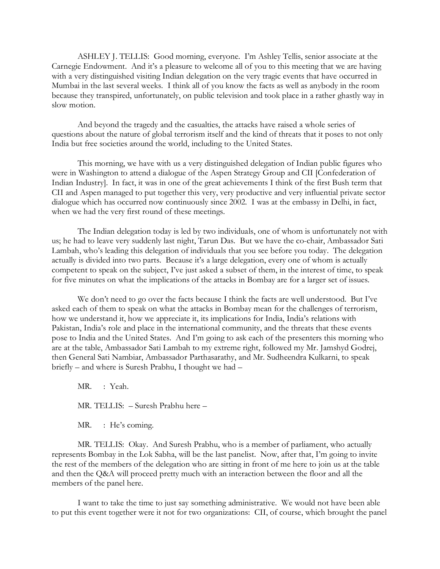ASHLEY J. TELLIS: Good morning, everyone. I'm Ashley Tellis, senior associate at the Carnegie Endowment. And it's a pleasure to welcome all of you to this meeting that we are having with a very distinguished visiting Indian delegation on the very tragic events that have occurred in Mumbai in the last several weeks. I think all of you know the facts as well as anybody in the room because they transpired, unfortunately, on public television and took place in a rather ghastly way in slow motion.

And beyond the tragedy and the casualties, the attacks have raised a whole series of questions about the nature of global terrorism itself and the kind of threats that it poses to not only India but free societies around the world, including to the United States.

This morning, we have with us a very distinguished delegation of Indian public figures who were in Washington to attend a dialogue of the Aspen Strategy Group and CII [Confederation of Indian Industry]. In fact, it was in one of the great achievements I think of the first Bush term that CII and Aspen managed to put together this very, very productive and very influential private sector dialogue which has occurred now continuously since 2002. I was at the embassy in Delhi, in fact, when we had the very first round of these meetings.

The Indian delegation today is led by two individuals, one of whom is unfortunately not with us; he had to leave very suddenly last night, Tarun Das. But we have the co-chair, Ambassador Sati Lambah, who's leading this delegation of individuals that you see before you today. The delegation actually is divided into two parts. Because it's a large delegation, every one of whom is actually competent to speak on the subject, I've just asked a subset of them, in the interest of time, to speak for five minutes on what the implications of the attacks in Bombay are for a larger set of issues.

We don't need to go over the facts because I think the facts are well understood. But I've asked each of them to speak on what the attacks in Bombay mean for the challenges of terrorism, how we understand it, how we appreciate it, its implications for India, India's relations with Pakistan, India's role and place in the international community, and the threats that these events pose to India and the United States. And I'm going to ask each of the presenters this morning who are at the table, Ambassador Sati Lambah to my extreme right, followed my Mr. Jamshyd Godrej, then General Sati Nambiar, Ambassador Parthasarathy, and Mr. Sudheendra Kulkarni, to speak briefly – and where is Suresh Prabhu, I thought we had –

MR. : Yeah. MR. TELLIS: – Suresh Prabhu here –

MR. : He's coming.

MR. TELLIS: Okay. And Suresh Prabhu, who is a member of parliament, who actually represents Bombay in the Lok Sabha, will be the last panelist. Now, after that, I'm going to invite the rest of the members of the delegation who are sitting in front of me here to join us at the table and then the Q&A will proceed pretty much with an interaction between the floor and all the members of the panel here.

I want to take the time to just say something administrative. We would not have been able to put this event together were it not for two organizations: CII, of course, which brought the panel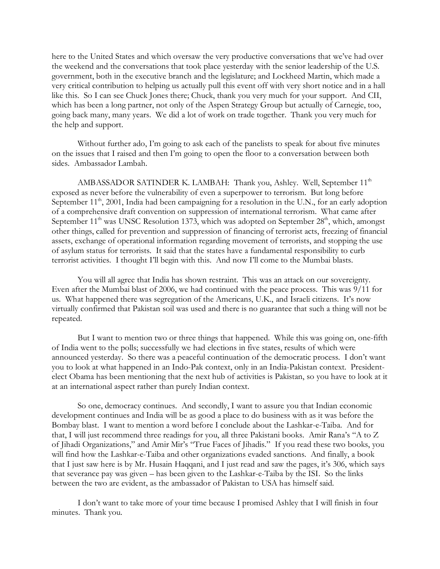here to the United States and which oversaw the very productive conversations that we've had over the weekend and the conversations that took place yesterday with the senior leadership of the U.S. government, both in the executive branch and the legislature; and Lockheed Martin, which made a very critical contribution to helping us actually pull this event off with very short notice and in a hall like this. So I can see Chuck Jones there; Chuck, thank you very much for your support. And CII, which has been a long partner, not only of the Aspen Strategy Group but actually of Carnegie, too, going back many, many years. We did a lot of work on trade together. Thank you very much for the help and support.

Without further ado, I'm going to ask each of the panelists to speak for about five minutes on the issues that I raised and then I'm going to open the floor to a conversation between both sides. Ambassador Lambah.

AMBASSADOR SATINDER K. LAMBAH: Thank you, Ashley. Well, September 11<sup>th</sup> exposed as never before the vulnerability of even a superpower to terrorism. But long before September  $11<sup>th</sup>$ , 2001, India had been campaigning for a resolution in the U.N., for an early adoption of a comprehensive draft convention on suppression of international terrorism. What came after September  $11<sup>th</sup>$  was UNSC Resolution 1373, which was adopted on September  $28<sup>th</sup>$ , which, amongst other things, called for prevention and suppression of financing of terrorist acts, freezing of financial assets, exchange of operational information regarding movement of terrorists, and stopping the use of asylum status for terrorists. It said that the states have a fundamental responsibility to curb terrorist activities. I thought I'll begin with this. And now I'll come to the Mumbai blasts.

You will all agree that India has shown restraint. This was an attack on our sovereignty. Even after the Mumbai blast of 2006, we had continued with the peace process. This was 9/11 for us. What happened there was segregation of the Americans, U.K., and Israeli citizens. It's now virtually confirmed that Pakistan soil was used and there is no guarantee that such a thing will not be repeated.

But I want to mention two or three things that happened. While this was going on, one-fifth of India went to the polls; successfully we had elections in five states, results of which were announced yesterday. So there was a peaceful continuation of the democratic process. I don't want you to look at what happened in an Indo-Pak context, only in an India-Pakistan context. Presidentelect Obama has been mentioning that the next hub of activities is Pakistan, so you have to look at it at an international aspect rather than purely Indian context.

So one, democracy continues. And secondly, I want to assure you that Indian economic development continues and India will be as good a place to do business with as it was before the Bombay blast. I want to mention a word before I conclude about the Lashkar-e-Taiba. And for that, I will just recommend three readings for you, all three Pakistani books. Amir Rana's "A to Z of Jihadi Organizations," and Amir Mir's "True Faces of Jihadis." If you read these two books, you will find how the Lashkar-e-Taiba and other organizations evaded sanctions. And finally, a book that I just saw here is by Mr. Husain Haqqani, and I just read and saw the pages, it's 306, which says that severance pay was given – has been given to the Lashkar-e-Taiba by the ISI. So the links between the two are evident, as the ambassador of Pakistan to USA has himself said.

I don't want to take more of your time because I promised Ashley that I will finish in four minutes. Thank you.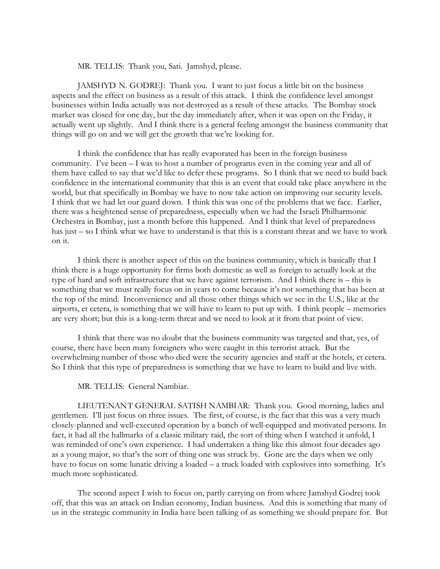MR. TELLIS: Thank you, Sati. Jamshyd, please.

JAMSHYD N. GODREJ: Thank you. I want to just focus a little bit on the business aspects and the effect on business as a result of this attack. I think the confidence level amongst businesses within India actually was not destroyed as a result of these attacks. The Bombay stock market was closed for one day, but the day immediately after, when it was open on the Friday, it actually went up slightly. And I think there is a general feeling amongst the business community that things will go on and we will get the growth that we're looking for.

I think the confidence that has really evaporated has been in the foreign business community. I've been – I was to host a number of programs even in the coming year and all of them have called to say that we'd like to defer these programs. So I think that we need to build back confidence in the international community that this is an event that could take place anywhere in the world, but that specifically in Bombay we have to now take action on improving our security levels. I think that we had let our guard down. I think this was one of the problems that we face. Earlier, there was a heightened sense of preparedness, especially when we had the Israeli Philharmonic Orchestra in Bombay, just a month before this happened. And I think that level of preparedness has just – so I think what we have to understand is that this is a constant threat and we have to work on it.

I think there is another aspect of this on the business community, which is basically that I think there is a huge opportunity for firms both domestic as well as foreign to actually look at the type of hard and soft infrastructure that we have against terrorism. And I think there is – this is something that we must really focus on in years to come because it's not something that has been at the top of the mind. Inconvenience and all those other things which we see in the U.S., like at the airports, et cetera, is something that we will have to learn to put up with. I think people – memories are very short; but this is a long-term threat and we need to look at it from that point of view.

I think that there was no doubt that the business community was targeted and that, yes, of course, there have been many foreigners who were caught in this terrorist attack. But the overwhelming number of those who died were the security agencies and staff at the hotels, et cetera. So I think that this type of preparedness is something that we have to learn to build and live with.

MR. TELLIS: General Nambiar.

LIEUTENANT GENERAL SATISH NAMBIAR: Thank you. Good morning, ladies and gentlemen. I'll just focus on three issues. The first, of course, is the fact that this was a very much closely-planned and well-executed operation by a bunch of well-equipped and motivated persons. In fact, it had all the hallmarks of a classic military raid, the sort of thing when I watched it unfold, I was reminded of one's own experience. I had undertaken a thing like this almost four decades ago as a young major, so that's the sort of thing one was struck by. Gone are the days when we only have to focus on some lunatic driving a loaded – a truck loaded with explosives into something. It's much more sophisticated.

The second aspect I wish to focus on, partly carrying on from where Jamshyd Godrej took off, that this was an attack on Indian economy, Indian business. And this is something that many of us in the strategic community in India have been talking of as something we should prepare for. But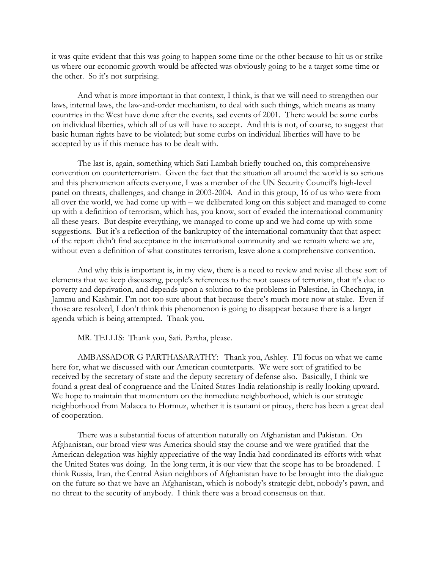it was quite evident that this was going to happen some time or the other because to hit us or strike us where our economic growth would be affected was obviously going to be a target some time or the other. So it's not surprising.

And what is more important in that context, I think, is that we will need to strengthen our laws, internal laws, the law-and-order mechanism, to deal with such things, which means as many countries in the West have done after the events, sad events of 2001. There would be some curbs on individual liberties, which all of us will have to accept. And this is not, of course, to suggest that basic human rights have to be violated; but some curbs on individual liberties will have to be accepted by us if this menace has to be dealt with.

The last is, again, something which Sati Lambah briefly touched on, this comprehensive convention on counterterrorism. Given the fact that the situation all around the world is so serious and this phenomenon affects everyone, I was a member of the UN Security Council's high-level panel on threats, challenges, and change in 2003-2004. And in this group, 16 of us who were from all over the world, we had come up with – we deliberated long on this subject and managed to come up with a definition of terrorism, which has, you know, sort of evaded the international community all these years. But despite everything, we managed to come up and we had come up with some suggestions. But it's a reflection of the bankruptcy of the international community that that aspect of the report didn't find acceptance in the international community and we remain where we are, without even a definition of what constitutes terrorism, leave alone a comprehensive convention.

And why this is important is, in my view, there is a need to review and revise all these sort of elements that we keep discussing, people's references to the root causes of terrorism, that it's due to poverty and deprivation, and depends upon a solution to the problems in Palestine, in Chechnya, in Jammu and Kashmir. I'm not too sure about that because there's much more now at stake. Even if those are resolved, I don't think this phenomenon is going to disappear because there is a larger agenda which is being attempted. Thank you.

MR. TELLIS: Thank you, Sati. Partha, please.

AMBASSADOR G PARTHASARATHY: Thank you, Ashley. I'll focus on what we came here for, what we discussed with our American counterparts. We were sort of gratified to be received by the secretary of state and the deputy secretary of defense also. Basically, I think we found a great deal of congruence and the United States-India relationship is really looking upward. We hope to maintain that momentum on the immediate neighborhood, which is our strategic neighborhood from Malacca to Hormuz, whether it is tsunami or piracy, there has been a great deal of cooperation.

There was a substantial focus of attention naturally on Afghanistan and Pakistan. On Afghanistan, our broad view was America should stay the course and we were gratified that the American delegation was highly appreciative of the way India had coordinated its efforts with what the United States was doing. In the long term, it is our view that the scope has to be broadened. I think Russia, Iran, the Central Asian neighbors of Afghanistan have to be brought into the dialogue on the future so that we have an Afghanistan, which is nobody's strategic debt, nobody's pawn, and no threat to the security of anybody. I think there was a broad consensus on that.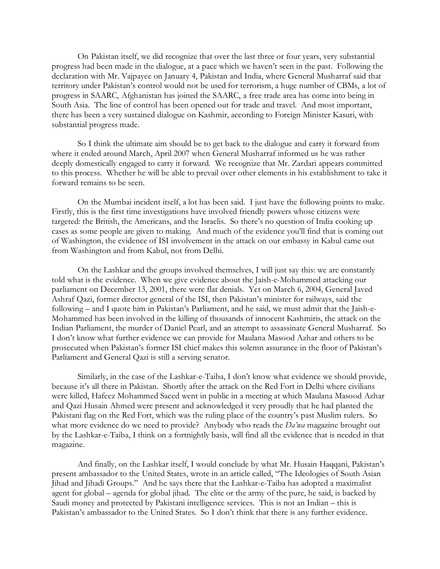On Pakistan itself, we did recognize that over the last three or four years, very substantial progress had been made in the dialogue, at a pace which we haven't seen in the past. Following the declaration with Mr. Vajpayee on January 4, Pakistan and India, where General Musharraf said that territory under Pakistan's control would not be used for terrorism, a huge number of CBMs, a lot of progress in SAARC, Afghanistan has joined the SAARC, a free trade area has come into being in South Asia. The line of control has been opened out for trade and travel. And most important, there has been a very sustained dialogue on Kashmir, according to Foreign Minister Kasuri, with substantial progress made.

So I think the ultimate aim should be to get back to the dialogue and carry it forward from where it ended around March, April 2007 when General Musharraf informed us he was rather deeply domestically engaged to carry it forward. We recognize that Mr. Zardari appears committed to this process. Whether he will be able to prevail over other elements in his establishment to take it forward remains to be seen.

On the Mumbai incident itself, a lot has been said. I just have the following points to make. Firstly, this is the first time investigations have involved friendly powers whose citizens were targeted: the British, the Americans, and the Israelis. So there's no question of India cooking up cases as some people are given to making. And much of the evidence you'll find that is coming out of Washington, the evidence of ISI involvement in the attack on our embassy in Kabul came out from Washington and from Kabul, not from Delhi.

On the Lashkar and the groups involved themselves, I will just say this: we are constantly told what is the evidence. When we give evidence about the Jaish-e-Mohammed attacking our parliament on December 13, 2001, there were flat denials. Yet on March 6, 2004, General Javed Ashraf Qazi, former director general of the ISI, then Pakistan's minister for railways, said the following – and I quote him in Pakistan's Parliament, and he said, we must admit that the Jaish-e-Mohammed has been involved in the killing of thousands of innocent Kashmiris, the attack on the Indian Parliament, the murder of Daniel Pearl, and an attempt to assassinate General Musharraf. So I don't know what further evidence we can provide for Maulana Masood Azhar and others to be prosecuted when Pakistan's former ISI chief makes this solemn assurance in the floor of Pakistan's Parliament and General Qazi is still a serving senator.

Similarly, in the case of the Lashkar-e-Taiba, I don't know what evidence we should provide, because it's all there in Pakistan. Shortly after the attack on the Red Fort in Delhi where civilians were killed, Hafeez Mohammed Saeed went in public in a meeting at which Maulana Masood Azhar and Qazi Husain Ahmed were present and acknowledged it very proudly that he had planted the Pakistani flag on the Red Fort, which was the ruling place of the country's past Muslim rulers. So what more evidence do we need to provide? Anybody who reads the *Da'wa* magazine brought out by the Lashkar-e-Taiba, I think on a fortnightly basis, will find all the evidence that is needed in that magazine.

And finally, on the Lashkar itself, I would conclude by what Mr. Husain Haqqani, Pakistan's present ambassador to the United States, wrote in an article called, "The Ideologies of South Asian Jihad and Jihadi Groups." And he says there that the Lashkar-e-Taiba has adopted a maximalist agent for global – agenda for global jihad. The elite or the army of the pure, he said, is backed by Saudi money and protected by Pakistani intelligence services. This is not an Indian – this is Pakistan's ambassador to the United States. So I don't think that there is any further evidence.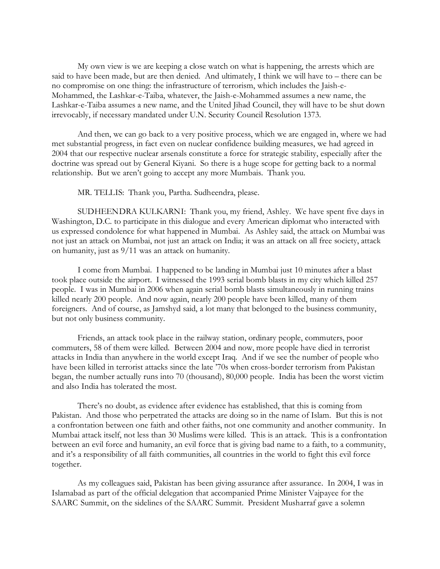My own view is we are keeping a close watch on what is happening, the arrests which are said to have been made, but are then denied. And ultimately, I think we will have to – there can be no compromise on one thing: the infrastructure of terrorism, which includes the Jaish-e-Mohammed, the Lashkar-e-Taiba, whatever, the Jaish-e-Mohammed assumes a new name, the Lashkar-e-Taiba assumes a new name, and the United Jihad Council, they will have to be shut down irrevocably, if necessary mandated under U.N. Security Council Resolution 1373.

And then, we can go back to a very positive process, which we are engaged in, where we had met substantial progress, in fact even on nuclear confidence building measures, we had agreed in 2004 that our respective nuclear arsenals constitute a force for strategic stability, especially after the doctrine was spread out by General Kiyani. So there is a huge scope for getting back to a normal relationship. But we aren't going to accept any more Mumbais. Thank you.

MR. TELLIS: Thank you, Partha. Sudheendra, please.

SUDHEENDRA KULKARNI: Thank you, my friend, Ashley. We have spent five days in Washington, D.C. to participate in this dialogue and every American diplomat who interacted with us expressed condolence for what happened in Mumbai. As Ashley said, the attack on Mumbai was not just an attack on Mumbai, not just an attack on India; it was an attack on all free society, attack on humanity, just as 9/11 was an attack on humanity.

I come from Mumbai. I happened to be landing in Mumbai just 10 minutes after a blast took place outside the airport. I witnessed the 1993 serial bomb blasts in my city which killed 257 people. I was in Mumbai in 2006 when again serial bomb blasts simultaneously in running trains killed nearly 200 people. And now again, nearly 200 people have been killed, many of them foreigners. And of course, as Jamshyd said, a lot many that belonged to the business community, but not only business community.

Friends, an attack took place in the railway station, ordinary people, commuters, poor commuters, 58 of them were killed. Between 2004 and now, more people have died in terrorist attacks in India than anywhere in the world except Iraq. And if we see the number of people who have been killed in terrorist attacks since the late '70s when cross-border terrorism from Pakistan began, the number actually runs into 70 (thousand), 80,000 people. India has been the worst victim and also India has tolerated the most.

There's no doubt, as evidence after evidence has established, that this is coming from Pakistan. And those who perpetrated the attacks are doing so in the name of Islam. But this is not a confrontation between one faith and other faiths, not one community and another community. In Mumbai attack itself, not less than 30 Muslims were killed. This is an attack. This is a confrontation between an evil force and humanity, an evil force that is giving bad name to a faith, to a community, and it's a responsibility of all faith communities, all countries in the world to fight this evil force together.

As my colleagues said, Pakistan has been giving assurance after assurance. In 2004, I was in Islamabad as part of the official delegation that accompanied Prime Minister Vajpayee for the SAARC Summit, on the sidelines of the SAARC Summit. President Musharraf gave a solemn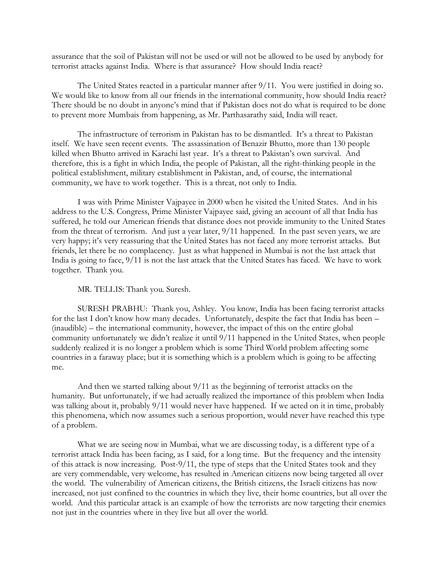assurance that the soil of Pakistan will not be used or will not be allowed to be used by anybody for terrorist attacks against India. Where is that assurance? How should India react?

The United States reacted in a particular manner after 9/11. You were justified in doing so. We would like to know from all our friends in the international community, how should India react? There should be no doubt in anyone's mind that if Pakistan does not do what is required to be done to prevent more Mumbais from happening, as Mr. Parthasarathy said, India will react.

The infrastructure of terrorism in Pakistan has to be dismantled. It's a threat to Pakistan itself. We have seen recent events. The assassination of Benazir Bhutto, more than 130 people killed when Bhutto arrived in Karachi last year. It's a threat to Pakistan's own survival. And therefore, this is a fight in which India, the people of Pakistan, all the right-thinking people in the political establishment, military establishment in Pakistan, and, of course, the international community, we have to work together. This is a threat, not only to India.

I was with Prime Minister Vajpayee in 2000 when he visited the United States. And in his address to the U.S. Congress, Prime Minister Vajpayee said, giving an account of all that India has suffered, he told our American friends that distance does not provide immunity to the United States from the threat of terrorism. And just a year later, 9/11 happened. In the past seven years, we are very happy; it's very reassuring that the United States has not faced any more terrorist attacks. But friends, let there be no complacency. Just as what happened in Mumbai is not the last attack that India is going to face, 9/11 is not the last attack that the United States has faced. We have to work together. Thank you.

MR. TELLIS: Thank you. Suresh.

SURESH PRABHU: Thank you, Ashley. You know, India has been facing terrorist attacks for the last I don't know how many decades. Unfortunately, despite the fact that India has been – (inaudible) – the international community, however, the impact of this on the entire global community unfortunately we didn't realize it until 9/11 happened in the United States, when people suddenly realized it is no longer a problem which is some Third World problem affecting some countries in a faraway place; but it is something which is a problem which is going to be affecting me.

And then we started talking about 9/11 as the beginning of terrorist attacks on the humanity. But unfortunately, if we had actually realized the importance of this problem when India was talking about it, probably 9/11 would never have happened. If we acted on it in time, probably this phenomena, which now assumes such a serious proportion, would never have reached this type of a problem.

What we are seeing now in Mumbai, what we are discussing today, is a different type of a terrorist attack India has been facing, as I said, for a long time. But the frequency and the intensity of this attack is now increasing. Post-9/11, the type of steps that the United States took and they are very commendable, very welcome, has resulted in American citizens now being targeted all over the world. The vulnerability of American citizens, the British citizens, the Israeli citizens has now increased, not just confined to the countries in which they live, their home countries, but all over the world. And this particular attack is an example of how the terrorists are now targeting their enemies not just in the countries where in they live but all over the world.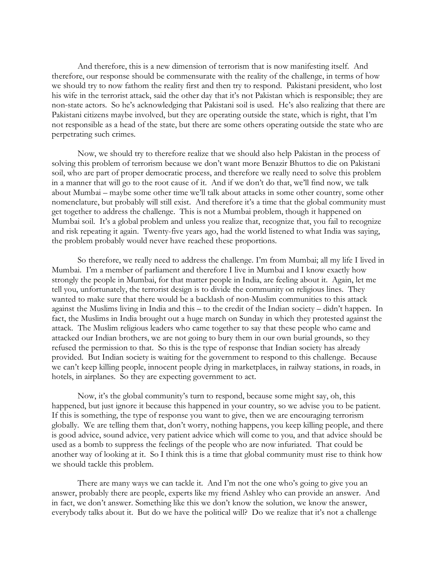And therefore, this is a new dimension of terrorism that is now manifesting itself. And therefore, our response should be commensurate with the reality of the challenge, in terms of how we should try to now fathom the reality first and then try to respond. Pakistani president, who lost his wife in the terrorist attack, said the other day that it's not Pakistan which is responsible; they are non-state actors. So he's acknowledging that Pakistani soil is used. He's also realizing that there are Pakistani citizens maybe involved, but they are operating outside the state, which is right, that I'm not responsible as a head of the state, but there are some others operating outside the state who are perpetrating such crimes.

Now, we should try to therefore realize that we should also help Pakistan in the process of solving this problem of terrorism because we don't want more Benazir Bhuttos to die on Pakistani soil, who are part of proper democratic process, and therefore we really need to solve this problem in a manner that will go to the root cause of it. And if we don't do that, we'll find now, we talk about Mumbai – maybe some other time we'll talk about attacks in some other country, some other nomenclature, but probably will still exist. And therefore it's a time that the global community must get together to address the challenge. This is not a Mumbai problem, though it happened on Mumbai soil. It's a global problem and unless you realize that, recognize that, you fail to recognize and risk repeating it again. Twenty-five years ago, had the world listened to what India was saying, the problem probably would never have reached these proportions.

So therefore, we really need to address the challenge. I'm from Mumbai; all my life I lived in Mumbai. I'm a member of parliament and therefore I live in Mumbai and I know exactly how strongly the people in Mumbai, for that matter people in India, are feeling about it. Again, let me tell you, unfortunately, the terrorist design is to divide the community on religious lines. They wanted to make sure that there would be a backlash of non-Muslim communities to this attack against the Muslims living in India and this – to the credit of the Indian society – didn't happen. In fact, the Muslims in India brought out a huge march on Sunday in which they protested against the attack. The Muslim religious leaders who came together to say that these people who came and attacked our Indian brothers, we are not going to bury them in our own burial grounds, so they refused the permission to that. So this is the type of response that Indian society has already provided. But Indian society is waiting for the government to respond to this challenge. Because we can't keep killing people, innocent people dying in marketplaces, in railway stations, in roads, in hotels, in airplanes. So they are expecting government to act.

Now, it's the global community's turn to respond, because some might say, oh, this happened, but just ignore it because this happened in your country, so we advise you to be patient. If this is something, the type of response you want to give, then we are encouraging terrorism globally. We are telling them that, don't worry, nothing happens, you keep killing people, and there is good advice, sound advice, very patient advice which will come to you, and that advice should be used as a bomb to suppress the feelings of the people who are now infuriated. That could be another way of looking at it. So I think this is a time that global community must rise to think how we should tackle this problem.

There are many ways we can tackle it. And I'm not the one who's going to give you an answer, probably there are people, experts like my friend Ashley who can provide an answer. And in fact, we don't answer. Something like this we don't know the solution, we know the answer, everybody talks about it. But do we have the political will? Do we realize that it's not a challenge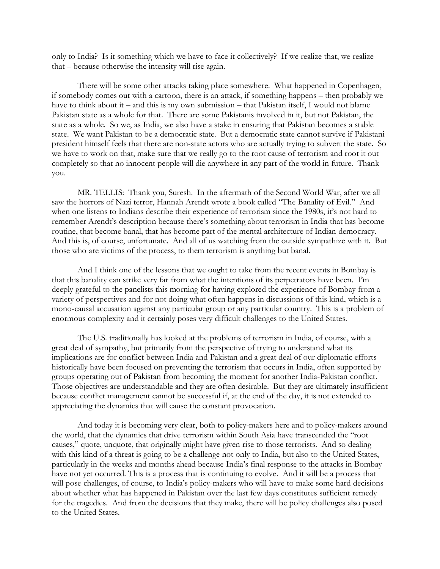only to India? Is it something which we have to face it collectively? If we realize that, we realize that – because otherwise the intensity will rise again.

There will be some other attacks taking place somewhere. What happened in Copenhagen, if somebody comes out with a cartoon, there is an attack, if something happens – then probably we have to think about it – and this is my own submission – that Pakistan itself, I would not blame Pakistan state as a whole for that. There are some Pakistanis involved in it, but not Pakistan, the state as a whole. So we, as India, we also have a stake in ensuring that Pakistan becomes a stable state. We want Pakistan to be a democratic state. But a democratic state cannot survive if Pakistani president himself feels that there are non-state actors who are actually trying to subvert the state. So we have to work on that, make sure that we really go to the root cause of terrorism and root it out completely so that no innocent people will die anywhere in any part of the world in future. Thank you.

MR. TELLIS: Thank you, Suresh. In the aftermath of the Second World War, after we all saw the horrors of Nazi terror, Hannah Arendt wrote a book called "The Banality of Evil." And when one listens to Indians describe their experience of terrorism since the 1980s, it's not hard to remember Arendt's description because there's something about terrorism in India that has become routine, that become banal, that has become part of the mental architecture of Indian democracy. And this is, of course, unfortunate. And all of us watching from the outside sympathize with it. But those who are victims of the process, to them terrorism is anything but banal.

And I think one of the lessons that we ought to take from the recent events in Bombay is that this banality can strike very far from what the intentions of its perpetrators have been. I'm deeply grateful to the panelists this morning for having explored the experience of Bombay from a variety of perspectives and for not doing what often happens in discussions of this kind, which is a mono-causal accusation against any particular group or any particular country. This is a problem of enormous complexity and it certainly poses very difficult challenges to the United States.

The U.S. traditionally has looked at the problems of terrorism in India, of course, with a great deal of sympathy, but primarily from the perspective of trying to understand what its implications are for conflict between India and Pakistan and a great deal of our diplomatic efforts historically have been focused on preventing the terrorism that occurs in India, often supported by groups operating out of Pakistan from becoming the moment for another India-Pakistan conflict. Those objectives are understandable and they are often desirable. But they are ultimately insufficient because conflict management cannot be successful if, at the end of the day, it is not extended to appreciating the dynamics that will cause the constant provocation.

And today it is becoming very clear, both to policy-makers here and to policy-makers around the world, that the dynamics that drive terrorism within South Asia have transcended the "root causes," quote, unquote, that originally might have given rise to those terrorists. And so dealing with this kind of a threat is going to be a challenge not only to India, but also to the United States, particularly in the weeks and months ahead because India's final response to the attacks in Bombay have not yet occurred. This is a process that is continuing to evolve. And it will be a process that will pose challenges, of course, to India's policy-makers who will have to make some hard decisions about whether what has happened in Pakistan over the last few days constitutes sufficient remedy for the tragedies. And from the decisions that they make, there will be policy challenges also posed to the United States.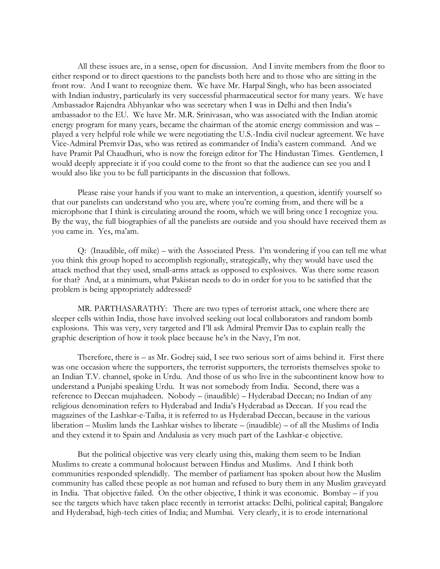All these issues are, in a sense, open for discussion. And I invite members from the floor to either respond or to direct questions to the panelists both here and to those who are sitting in the front row. And I want to recognize them. We have Mr. Harpal Singh, who has been associated with Indian industry, particularly its very successful pharmaceutical sector for many years. We have Ambassador Rajendra Abhyankar who was secretary when I was in Delhi and then India's ambassador to the EU. We have Mr. M.R. Srinivasan, who was associated with the Indian atomic energy program for many years, became the chairman of the atomic energy commission and was – played a very helpful role while we were negotiating the U.S.-India civil nuclear agreement. We have Vice-Admiral Premvir Das, who was retired as commander of India's eastern command. And we have Pramit Pal Chaudhuri, who is now the foreign editor for The Hindustan Times. Gentlemen, I would deeply appreciate it if you could come to the front so that the audience can see you and I would also like you to be full participants in the discussion that follows.

Please raise your hands if you want to make an intervention, a question, identify yourself so that our panelists can understand who you are, where you're coming from, and there will be a microphone that I think is circulating around the room, which we will bring once I recognize you. By the way, the full biographies of all the panelists are outside and you should have received them as you came in. Yes, ma'am.

Q: (Inaudible, off mike) – with the Associated Press. I'm wondering if you can tell me what you think this group hoped to accomplish regionally, strategically, why they would have used the attack method that they used, small-arms attack as opposed to explosives. Was there some reason for that? And, at a minimum, what Pakistan needs to do in order for you to be satisfied that the problem is being appropriately addressed?

MR. PARTHASARATHY: There are two types of terrorist attack, one where there are sleeper cells within India, those have involved seeking out local collaborators and random bomb explosions. This was very, very targeted and I'll ask Admiral Premvir Das to explain really the graphic description of how it took place because he's in the Navy, I'm not.

Therefore, there is – as Mr. Godrej said, I see two serious sort of aims behind it. First there was one occasion where the supporters, the terrorist supporters, the terrorists themselves spoke to an Indian T.V. channel, spoke in Urdu. And those of us who live in the subcontinent know how to understand a Punjabi speaking Urdu. It was not somebody from India. Second, there was a reference to Deccan mujahadeen. Nobody – (inaudible) – Hyderabad Deccan; no Indian of any religious denomination refers to Hyderabad and India's Hyderabad as Deccan. If you read the magazines of the Lashkar-e-Taiba, it is referred to as Hyderabad Deccan, because in the various liberation – Muslim lands the Lashkar wishes to liberate – (inaudible) – of all the Muslims of India and they extend it to Spain and Andalusia as very much part of the Lashkar-e objective.

But the political objective was very clearly using this, making them seem to be Indian Muslims to create a communal holocaust between Hindus and Muslims. And I think both communities responded splendidly. The member of parliament has spoken about how the Muslim community has called these people as not human and refused to bury them in any Muslim graveyard in India. That objective failed. On the other objective, I think it was economic. Bombay – if you see the targets which have taken place recently in terrorist attacks: Delhi, political capital; Bangalore and Hyderabad, high-tech cities of India; and Mumbai. Very clearly, it is to erode international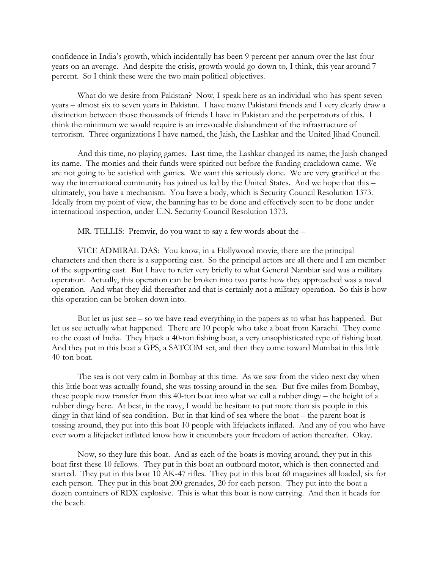confidence in India's growth, which incidentally has been 9 percent per annum over the last four years on an average. And despite the crisis, growth would go down to, I think, this year around 7 percent. So I think these were the two main political objectives.

What do we desire from Pakistan? Now, I speak here as an individual who has spent seven years – almost six to seven years in Pakistan. I have many Pakistani friends and I very clearly draw a distinction between those thousands of friends I have in Pakistan and the perpetrators of this. I think the minimum we would require is an irrevocable disbandment of the infrastructure of terrorism. Three organizations I have named, the Jaish, the Lashkar and the United Jihad Council.

And this time, no playing games. Last time, the Lashkar changed its name; the Jaish changed its name. The monies and their funds were spirited out before the funding crackdown came. We are not going to be satisfied with games. We want this seriously done. We are very gratified at the way the international community has joined us led by the United States. And we hope that this – ultimately, you have a mechanism. You have a body, which is Security Council Resolution 1373. Ideally from my point of view, the banning has to be done and effectively seen to be done under international inspection, under U.N. Security Council Resolution 1373.

MR. TELLIS: Premvir, do you want to say a few words about the –

VICE ADMIRAL DAS: You know, in a Hollywood movie, there are the principal characters and then there is a supporting cast. So the principal actors are all there and I am member of the supporting cast. But I have to refer very briefly to what General Nambiar said was a military operation. Actually, this operation can be broken into two parts: how they approached was a naval operation. And what they did thereafter and that is certainly not a military operation. So this is how this operation can be broken down into.

But let us just see – so we have read everything in the papers as to what has happened. But let us see actually what happened. There are 10 people who take a boat from Karachi. They come to the coast of India. They hijack a 40-ton fishing boat, a very unsophisticated type of fishing boat. And they put in this boat a GPS, a SATCOM set, and then they come toward Mumbai in this little 40-ton boat.

The sea is not very calm in Bombay at this time. As we saw from the video next day when this little boat was actually found, she was tossing around in the sea. But five miles from Bombay, these people now transfer from this 40-ton boat into what we call a rubber dingy – the height of a rubber dingy here. At best, in the navy, I would be hesitant to put more than six people in this dingy in that kind of sea condition. But in that kind of sea where the boat – the parent boat is tossing around, they put into this boat 10 people with lifejackets inflated. And any of you who have ever worn a lifejacket inflated know how it encumbers your freedom of action thereafter. Okay.

Now, so they lure this boat. And as each of the boats is moving around, they put in this boat first these 10 fellows. They put in this boat an outboard motor, which is then connected and started. They put in this boat 10 AK-47 rifles. They put in this boat 60 magazines all loaded, six for each person. They put in this boat 200 grenades, 20 for each person. They put into the boat a dozen containers of RDX explosive. This is what this boat is now carrying. And then it heads for the beach.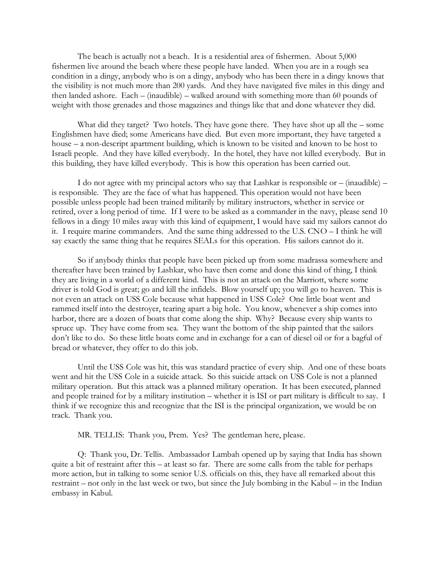The beach is actually not a beach. It is a residential area of fishermen. About 5,000 fishermen live around the beach where these people have landed. When you are in a rough sea condition in a dingy, anybody who is on a dingy, anybody who has been there in a dingy knows that the visibility is not much more than 200 yards. And they have navigated five miles in this dingy and then landed ashore. Each – (inaudible) – walked around with something more than 60 pounds of weight with those grenades and those magazines and things like that and done whatever they did.

What did they target? Two hotels. They have gone there. They have shot up all the – some Englishmen have died; some Americans have died. But even more important, they have targeted a house – a non-descript apartment building, which is known to be visited and known to be host to Israeli people. And they have killed everybody. In the hotel, they have not killed everybody. But in this building, they have killed everybody. This is how this operation has been carried out.

I do not agree with my principal actors who say that Lashkar is responsible or – (inaudible) – is responsible. They are the face of what has happened. This operation would not have been possible unless people had been trained militarily by military instructors, whether in service or retired, over a long period of time. If I were to be asked as a commander in the navy, please send 10 fellows in a dingy 10 miles away with this kind of equipment, I would have said my sailors cannot do it. I require marine commanders. And the same thing addressed to the U.S. CNO – I think he will say exactly the same thing that he requires SEALs for this operation. His sailors cannot do it.

So if anybody thinks that people have been picked up from some madrassa somewhere and thereafter have been trained by Lashkar, who have then come and done this kind of thing, I think they are living in a world of a different kind. This is not an attack on the Marriott, where some driver is told God is great; go and kill the infidels. Blow yourself up; you will go to heaven. This is not even an attack on USS Cole because what happened in USS Cole? One little boat went and rammed itself into the destroyer, tearing apart a big hole. You know, whenever a ship comes into harbor, there are a dozen of boats that come along the ship. Why? Because every ship wants to spruce up. They have come from sea. They want the bottom of the ship painted that the sailors don't like to do. So these little boats come and in exchange for a can of diesel oil or for a bagful of bread or whatever, they offer to do this job.

Until the USS Cole was hit, this was standard practice of every ship. And one of these boats went and hit the USS Cole in a suicide attack. So this suicide attack on USS Cole is not a planned military operation. But this attack was a planned military operation. It has been executed, planned and people trained for by a military institution – whether it is ISI or part military is difficult to say. I think if we recognize this and recognize that the ISI is the principal organization, we would be on track. Thank you.

MR. TELLIS: Thank you, Prem. Yes? The gentleman here, please.

Q: Thank you, Dr. Tellis. Ambassador Lambah opened up by saying that India has shown quite a bit of restraint after this – at least so far. There are some calls from the table for perhaps more action, but in talking to some senior U.S. officials on this, they have all remarked about this restraint – not only in the last week or two, but since the July bombing in the Kabul – in the Indian embassy in Kabul.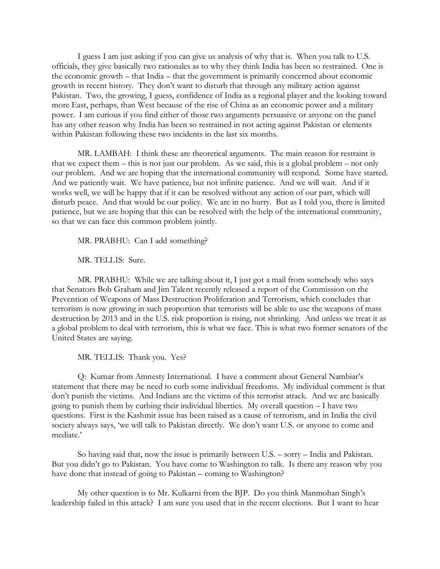I guess I am just asking if you can give us analysis of why that is. When you talk to U.S. officials, they give basically two rationales as to why they think India has been so restrained. One is the economic growth – that India – that the government is primarily concerned about economic growth in recent history. They don't want to disturb that through any military action against Pakistan. Two, the growing, I guess, confidence of India as a regional player and the looking toward more East, perhaps, than West because of the rise of China as an economic power and a military power. I am curious if you find either of those two arguments persuasive or anyone on the panel has any other reason why India has been so restrained in not acting against Pakistan or elements within Pakistan following these two incidents in the last six months.

MR. LAMBAH: I think these are theoretical arguments. The main reason for restraint is that we expect them – this is not just our problem. As we said, this is a global problem – not only our problem. And we are hoping that the international community will respond. Some have started. And we patiently wait. We have patience, but not infinite patience. And we will wait. And if it works well, we will be happy that if it can be resolved without any action of our part, which will disturb peace. And that would be our policy. We are in no hurry. But as I told you, there is limited patience, but we are hoping that this can be resolved with the help of the international community, so that we can face this common problem jointly.

MR. PRABHU: Can I add something?

MR. TELLIS: Sure.

MR. PRABHU: While we are talking about it, I just got a mail from somebody who says that Senators Bob Graham and Jim Talent recently released a report of the Commission on the Prevention of Weapons of Mass Destruction Proliferation and Terrorism, which concludes that terrorism is now growing in such proportion that terrorists will be able to use the weapons of mass destruction by 2013 and in the U.S. risk proportion is rising, not shrinking. And unless we treat it as a global problem to deal with terrorism, this is what we face. This is what two former senators of the United States are saying.

MR. TELLIS: Thank you. Yes?

Q: Kumar from Amnesty International. I have a comment about General Nambiar's statement that there may be need to curb some individual freedoms. My individual comment is that don't punish the victims. And Indians are the victims of this terrorist attack. And we are basically going to punish them by curbing their individual liberties. My overall question – I have two questions. First is the Kashmir issue has been raised as a cause of terrorism, and in India the civil society always says, 'we will talk to Pakistan directly. We don't want U.S. or anyone to come and mediate.'

So having said that, now the issue is primarily between U.S. – sorry – India and Pakistan. But you didn't go to Pakistan. You have come to Washington to talk. Is there any reason why you have done that instead of going to Pakistan – coming to Washington?

My other question is to Mr. Kulkarni from the BJP. Do you think Manmohan Singh's leadership failed in this attack? I am sure you used that in the recent elections. But I want to hear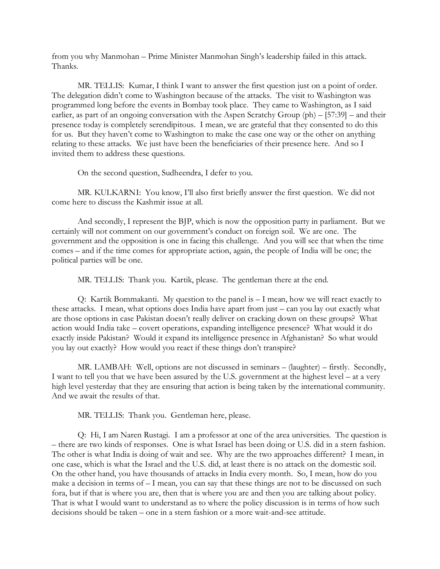from you why Manmohan – Prime Minister Manmohan Singh's leadership failed in this attack. Thanks.

MR. TELLIS: Kumar, I think I want to answer the first question just on a point of order. The delegation didn't come to Washington because of the attacks. The visit to Washington was programmed long before the events in Bombay took place. They came to Washington, as I said earlier, as part of an ongoing conversation with the Aspen Scratchy Group (ph) – [57:39] – and their presence today is completely serendipitous. I mean, we are grateful that they consented to do this for us. But they haven't come to Washington to make the case one way or the other on anything relating to these attacks. We just have been the beneficiaries of their presence here. And so I invited them to address these questions.

On the second question, Sudheendra, I defer to you.

MR. KULKARNI: You know, I'll also first briefly answer the first question. We did not come here to discuss the Kashmir issue at all.

And secondly, I represent the BJP, which is now the opposition party in parliament. But we certainly will not comment on our government's conduct on foreign soil. We are one. The government and the opposition is one in facing this challenge. And you will see that when the time comes – and if the time comes for appropriate action, again, the people of India will be one; the political parties will be one.

MR. TELLIS: Thank you. Kartik, please. The gentleman there at the end.

Q: Kartik Bommakanti. My question to the panel is – I mean, how we will react exactly to these attacks. I mean, what options does India have apart from just – can you lay out exactly what are those options in case Pakistan doesn't really deliver on cracking down on these groups? What action would India take – covert operations, expanding intelligence presence? What would it do exactly inside Pakistan? Would it expand its intelligence presence in Afghanistan? So what would you lay out exactly? How would you react if these things don't transpire?

MR. LAMBAH: Well, options are not discussed in seminars – (laughter) – firstly. Secondly, I want to tell you that we have been assured by the U.S. government at the highest level – at a very high level yesterday that they are ensuring that action is being taken by the international community. And we await the results of that.

MR. TELLIS: Thank you. Gentleman here, please.

Q: Hi, I am Naren Rustagi. I am a professor at one of the area universities. The question is – there are two kinds of responses. One is what Israel has been doing or U.S. did in a stern fashion. The other is what India is doing of wait and see. Why are the two approaches different? I mean, in one case, which is what the Israel and the U.S. did, at least there is no attack on the domestic soil. On the other hand, you have thousands of attacks in India every month. So, I mean, how do you make a decision in terms of – I mean, you can say that these things are not to be discussed on such fora, but if that is where you are, then that is where you are and then you are talking about policy. That is what I would want to understand as to where the policy discussion is in terms of how such decisions should be taken – one in a stern fashion or a more wait-and-see attitude.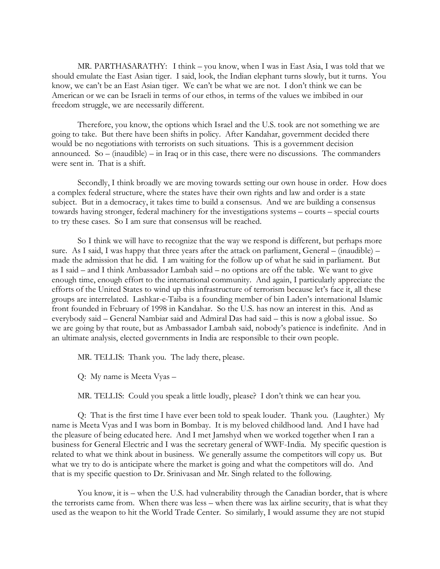MR. PARTHASARATHY: I think – you know, when I was in East Asia, I was told that we should emulate the East Asian tiger. I said, look, the Indian elephant turns slowly, but it turns. You know, we can't be an East Asian tiger. We can't be what we are not. I don't think we can be American or we can be Israeli in terms of our ethos, in terms of the values we imbibed in our freedom struggle, we are necessarily different.

Therefore, you know, the options which Israel and the U.S. took are not something we are going to take. But there have been shifts in policy. After Kandahar, government decided there would be no negotiations with terrorists on such situations. This is a government decision announced. So – (inaudible) – in Iraq or in this case, there were no discussions. The commanders were sent in. That is a shift.

Secondly, I think broadly we are moving towards setting our own house in order. How does a complex federal structure, where the states have their own rights and law and order is a state subject. But in a democracy, it takes time to build a consensus. And we are building a consensus towards having stronger, federal machinery for the investigations systems – courts – special courts to try these cases. So I am sure that consensus will be reached.

So I think we will have to recognize that the way we respond is different, but perhaps more sure. As I said, I was happy that three years after the attack on parliament, General – (inaudible) – made the admission that he did. I am waiting for the follow up of what he said in parliament. But as I said – and I think Ambassador Lambah said – no options are off the table. We want to give enough time, enough effort to the international community. And again, I particularly appreciate the efforts of the United States to wind up this infrastructure of terrorism because let's face it, all these groups are interrelated. Lashkar-e-Taiba is a founding member of bin Laden's international Islamic front founded in February of 1998 in Kandahar. So the U.S. has now an interest in this. And as everybody said – General Nambiar said and Admiral Das had said – this is now a global issue. So we are going by that route, but as Ambassador Lambah said, nobody's patience is indefinite. And in an ultimate analysis, elected governments in India are responsible to their own people.

MR. TELLIS: Thank you. The lady there, please.

Q: My name is Meeta Vyas –

MR. TELLIS: Could you speak a little loudly, please? I don't think we can hear you.

Q: That is the first time I have ever been told to speak louder. Thank you. (Laughter.) My name is Meeta Vyas and I was born in Bombay. It is my beloved childhood land. And I have had the pleasure of being educated here. And I met Jamshyd when we worked together when I ran a business for General Electric and I was the secretary general of WWF-India. My specific question is related to what we think about in business. We generally assume the competitors will copy us. But what we try to do is anticipate where the market is going and what the competitors will do. And that is my specific question to Dr. Srinivasan and Mr. Singh related to the following.

You know, it is – when the U.S. had vulnerability through the Canadian border, that is where the terrorists came from. When there was less – when there was lax airline security, that is what they used as the weapon to hit the World Trade Center. So similarly, I would assume they are not stupid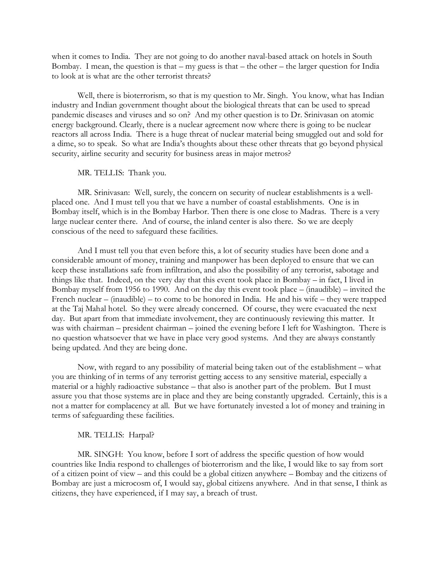when it comes to India. They are not going to do another naval-based attack on hotels in South Bombay. I mean, the question is that  $-$  my guess is that  $-$  the other  $-$  the larger question for India to look at is what are the other terrorist threats?

Well, there is bioterrorism, so that is my question to Mr. Singh. You know, what has Indian industry and Indian government thought about the biological threats that can be used to spread pandemic diseases and viruses and so on? And my other question is to Dr. Srinivasan on atomic energy background. Clearly, there is a nuclear agreement now where there is going to be nuclear reactors all across India. There is a huge threat of nuclear material being smuggled out and sold for a dime, so to speak. So what are India's thoughts about these other threats that go beyond physical security, airline security and security for business areas in major metros?

#### MR. TELLIS: Thank you.

MR. Srinivasan: Well, surely, the concern on security of nuclear establishments is a wellplaced one. And I must tell you that we have a number of coastal establishments. One is in Bombay itself, which is in the Bombay Harbor. Then there is one close to Madras. There is a very large nuclear center there. And of course, the inland center is also there. So we are deeply conscious of the need to safeguard these facilities.

And I must tell you that even before this, a lot of security studies have been done and a considerable amount of money, training and manpower has been deployed to ensure that we can keep these installations safe from infiltration, and also the possibility of any terrorist, sabotage and things like that. Indeed, on the very day that this event took place in Bombay – in fact, I lived in Bombay myself from 1956 to 1990. And on the day this event took place – (inaudible) – invited the French nuclear – (inaudible) – to come to be honored in India. He and his wife – they were trapped at the Taj Mahal hotel. So they were already concerned. Of course, they were evacuated the next day. But apart from that immediate involvement, they are continuously reviewing this matter. It was with chairman – president chairman – joined the evening before I left for Washington. There is no question whatsoever that we have in place very good systems. And they are always constantly being updated. And they are being done.

Now, with regard to any possibility of material being taken out of the establishment – what you are thinking of in terms of any terrorist getting access to any sensitive material, especially a material or a highly radioactive substance – that also is another part of the problem. But I must assure you that those systems are in place and they are being constantly upgraded. Certainly, this is a not a matter for complacency at all. But we have fortunately invested a lot of money and training in terms of safeguarding these facilities.

### MR. TELLIS: Harpal?

MR. SINGH: You know, before I sort of address the specific question of how would countries like India respond to challenges of bioterrorism and the like, I would like to say from sort of a citizen point of view – and this could be a global citizen anywhere – Bombay and the citizens of Bombay are just a microcosm of, I would say, global citizens anywhere. And in that sense, I think as citizens, they have experienced, if I may say, a breach of trust.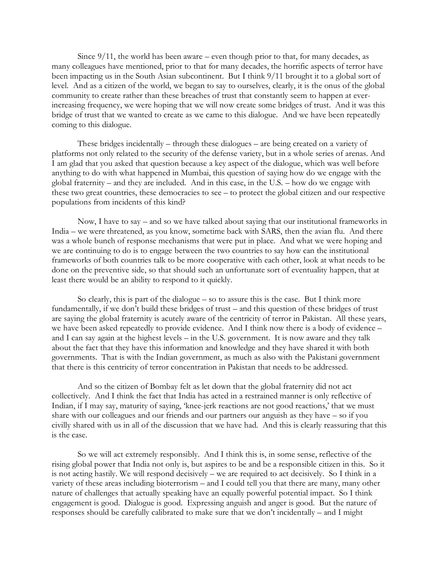Since  $9/11$ , the world has been aware – even though prior to that, for many decades, as many colleagues have mentioned, prior to that for many decades, the horrific aspects of terror have been impacting us in the South Asian subcontinent. But I think 9/11 brought it to a global sort of level. And as a citizen of the world, we began to say to ourselves, clearly, it is the onus of the global community to create rather than these breaches of trust that constantly seem to happen at everincreasing frequency, we were hoping that we will now create some bridges of trust. And it was this bridge of trust that we wanted to create as we came to this dialogue. And we have been repeatedly coming to this dialogue.

These bridges incidentally – through these dialogues – are being created on a variety of platforms not only related to the security of the defense variety, but in a whole series of arenas. And I am glad that you asked that question because a key aspect of the dialogue, which was well before anything to do with what happened in Mumbai, this question of saying how do we engage with the global fraternity – and they are included. And in this case, in the U.S. – how do we engage with these two great countries, these democracies to see – to protect the global citizen and our respective populations from incidents of this kind?

Now, I have to say – and so we have talked about saying that our institutional frameworks in India – we were threatened, as you know, sometime back with SARS, then the avian flu. And there was a whole bunch of response mechanisms that were put in place. And what we were hoping and we are continuing to do is to engage between the two countries to say how can the institutional frameworks of both countries talk to be more cooperative with each other, look at what needs to be done on the preventive side, so that should such an unfortunate sort of eventuality happen, that at least there would be an ability to respond to it quickly.

So clearly, this is part of the dialogue – so to assure this is the case. But I think more fundamentally, if we don't build these bridges of trust – and this question of these bridges of trust are saying the global fraternity is acutely aware of the centricity of terror in Pakistan. All these years, we have been asked repeatedly to provide evidence. And I think now there is a body of evidence – and I can say again at the highest levels – in the U.S. government. It is now aware and they talk about the fact that they have this information and knowledge and they have shared it with both governments. That is with the Indian government, as much as also with the Pakistani government that there is this centricity of terror concentration in Pakistan that needs to be addressed.

And so the citizen of Bombay felt as let down that the global fraternity did not act collectively. And I think the fact that India has acted in a restrained manner is only reflective of Indian, if I may say, maturity of saying, 'knee-jerk reactions are not good reactions,' that we must share with our colleagues and our friends and our partners our anguish as they have – so if you civilly shared with us in all of the discussion that we have had. And this is clearly reassuring that this is the case.

So we will act extremely responsibly. And I think this is, in some sense, reflective of the rising global power that India not only is, but aspires to be and be a responsible citizen in this. So it is not acting hastily. We will respond decisively – we are required to act decisively. So I think in a variety of these areas including bioterrorism – and I could tell you that there are many, many other nature of challenges that actually speaking have an equally powerful potential impact. So I think engagement is good. Dialogue is good. Expressing anguish and anger is good. But the nature of responses should be carefully calibrated to make sure that we don't incidentally – and I might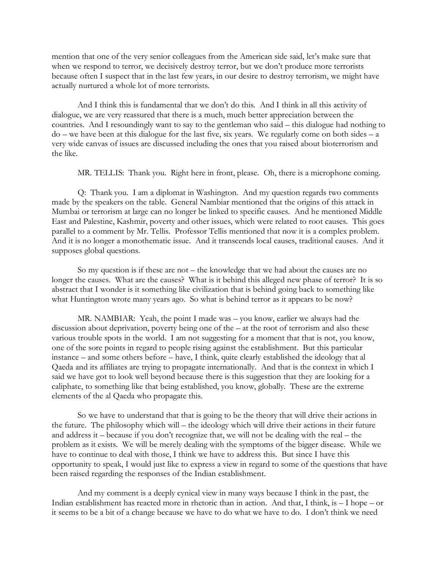mention that one of the very senior colleagues from the American side said, let's make sure that when we respond to terror, we decisively destroy terror, but we don't produce more terrorists because often I suspect that in the last few years, in our desire to destroy terrorism, we might have actually nurtured a whole lot of more terrorists.

And I think this is fundamental that we don't do this. And I think in all this activity of dialogue, we are very reassured that there is a much, much better appreciation between the countries. And I resoundingly want to say to the gentleman who said – this dialogue had nothing to  $do - we have been at this dialogue for the last five, six years. We regularly come on both sides – a$ very wide canvas of issues are discussed including the ones that you raised about bioterrorism and the like.

MR. TELLIS: Thank you. Right here in front, please. Oh, there is a microphone coming.

Q: Thank you. I am a diplomat in Washington. And my question regards two comments made by the speakers on the table. General Nambiar mentioned that the origins of this attack in Mumbai or terrorism at large can no longer be linked to specific causes. And he mentioned Middle East and Palestine, Kashmir, poverty and other issues, which were related to root causes. This goes parallel to a comment by Mr. Tellis. Professor Tellis mentioned that now it is a complex problem. And it is no longer a monothematic issue. And it transcends local causes, traditional causes. And it supposes global questions.

So my question is if these are not – the knowledge that we had about the causes are no longer the causes. What are the causes? What is it behind this alleged new phase of terror? It is so abstract that I wonder is it something like civilization that is behind going back to something like what Huntington wrote many years ago. So what is behind terror as it appears to be now?

MR. NAMBIAR: Yeah, the point I made was – you know, earlier we always had the discussion about deprivation, poverty being one of the – at the root of terrorism and also these various trouble spots in the world. I am not suggesting for a moment that that is not, you know, one of the sore points in regard to people rising against the establishment. But this particular instance – and some others before – have, I think, quite clearly established the ideology that al Qaeda and its affiliates are trying to propagate internationally. And that is the context in which I said we have got to look well beyond because there is this suggestion that they are looking for a caliphate, to something like that being established, you know, globally. These are the extreme elements of the al Qaeda who propagate this.

So we have to understand that that is going to be the theory that will drive their actions in the future. The philosophy which will – the ideology which will drive their actions in their future and address it – because if you don't recognize that, we will not be dealing with the real – the problem as it exists. We will be merely dealing with the symptoms of the bigger disease. While we have to continue to deal with those, I think we have to address this. But since I have this opportunity to speak, I would just like to express a view in regard to some of the questions that have been raised regarding the responses of the Indian establishment.

And my comment is a deeply cynical view in many ways because I think in the past, the Indian establishment has reacted more in rhetoric than in action. And that, I think, is – I hope – or it seems to be a bit of a change because we have to do what we have to do. I don't think we need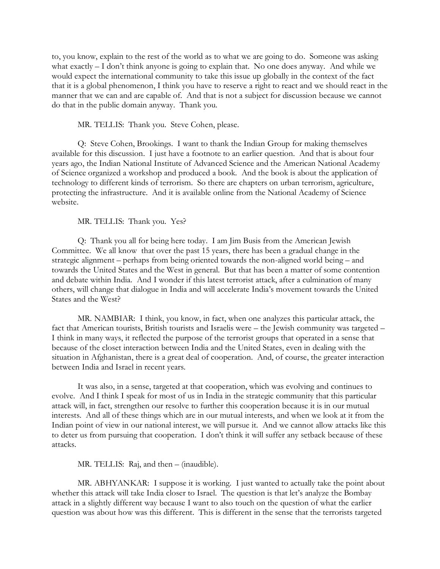to, you know, explain to the rest of the world as to what we are going to do. Someone was asking what exactly – I don't think anyone is going to explain that. No one does anyway. And while we would expect the international community to take this issue up globally in the context of the fact that it is a global phenomenon, I think you have to reserve a right to react and we should react in the manner that we can and are capable of. And that is not a subject for discussion because we cannot do that in the public domain anyway. Thank you.

MR. TELLIS: Thank you. Steve Cohen, please.

Q: Steve Cohen, Brookings. I want to thank the Indian Group for making themselves available for this discussion. I just have a footnote to an earlier question. And that is about four years ago, the Indian National Institute of Advanced Science and the American National Academy of Science organized a workshop and produced a book. And the book is about the application of technology to different kinds of terrorism. So there are chapters on urban terrorism, agriculture, protecting the infrastructure. And it is available online from the National Academy of Science website.

MR. TELLIS: Thank you. Yes?

Q: Thank you all for being here today. I am Jim Busis from the American Jewish Committee. We all know that over the past 15 years, there has been a gradual change in the strategic alignment – perhaps from being oriented towards the non-aligned world being – and towards the United States and the West in general. But that has been a matter of some contention and debate within India. And I wonder if this latest terrorist attack, after a culmination of many others, will change that dialogue in India and will accelerate India's movement towards the United States and the West?

MR. NAMBIAR: I think, you know, in fact, when one analyzes this particular attack, the fact that American tourists, British tourists and Israelis were – the Jewish community was targeted – I think in many ways, it reflected the purpose of the terrorist groups that operated in a sense that because of the closet interaction between India and the United States, even in dealing with the situation in Afghanistan, there is a great deal of cooperation. And, of course, the greater interaction between India and Israel in recent years.

It was also, in a sense, targeted at that cooperation, which was evolving and continues to evolve. And I think I speak for most of us in India in the strategic community that this particular attack will, in fact, strengthen our resolve to further this cooperation because it is in our mutual interests. And all of these things which are in our mutual interests, and when we look at it from the Indian point of view in our national interest, we will pursue it. And we cannot allow attacks like this to deter us from pursuing that cooperation. I don't think it will suffer any setback because of these attacks.

MR. TELLIS: Raj, and then – (inaudible).

MR. ABHYANKAR: I suppose it is working. I just wanted to actually take the point about whether this attack will take India closer to Israel. The question is that let's analyze the Bombay attack in a slightly different way because I want to also touch on the question of what the earlier question was about how was this different. This is different in the sense that the terrorists targeted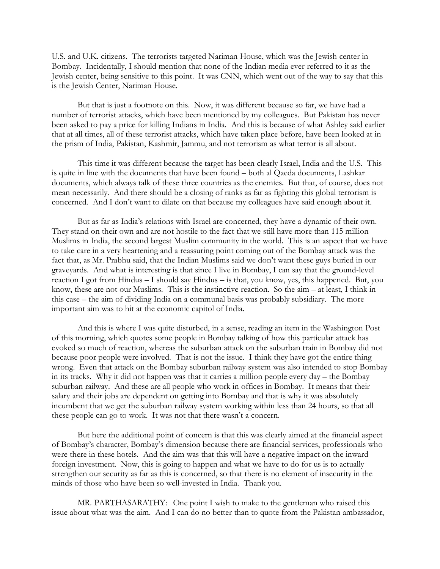U.S. and U.K. citizens. The terrorists targeted Nariman House, which was the Jewish center in Bombay. Incidentally, I should mention that none of the Indian media ever referred to it as the Jewish center, being sensitive to this point. It was CNN, which went out of the way to say that this is the Jewish Center, Nariman House.

But that is just a footnote on this. Now, it was different because so far, we have had a number of terrorist attacks, which have been mentioned by my colleagues. But Pakistan has never been asked to pay a price for killing Indians in India. And this is because of what Ashley said earlier that at all times, all of these terrorist attacks, which have taken place before, have been looked at in the prism of India, Pakistan, Kashmir, Jammu, and not terrorism as what terror is all about.

This time it was different because the target has been clearly Israel, India and the U.S. This is quite in line with the documents that have been found – both al Qaeda documents, Lashkar documents, which always talk of these three countries as the enemies. But that, of course, does not mean necessarily. And there should be a closing of ranks as far as fighting this global terrorism is concerned. And I don't want to dilate on that because my colleagues have said enough about it.

But as far as India's relations with Israel are concerned, they have a dynamic of their own. They stand on their own and are not hostile to the fact that we still have more than 115 million Muslims in India, the second largest Muslim community in the world. This is an aspect that we have to take care in a very heartening and a reassuring point coming out of the Bombay attack was the fact that, as Mr. Prabhu said, that the Indian Muslims said we don't want these guys buried in our graveyards. And what is interesting is that since I live in Bombay, I can say that the ground-level reaction I got from Hindus – I should say Hindus – is that, you know, yes, this happened. But, you know, these are not our Muslims. This is the instinctive reaction. So the aim – at least, I think in this case – the aim of dividing India on a communal basis was probably subsidiary. The more important aim was to hit at the economic capitol of India.

And this is where I was quite disturbed, in a sense, reading an item in the Washington Post of this morning, which quotes some people in Bombay talking of how this particular attack has evoked so much of reaction, whereas the suburban attack on the suburban train in Bombay did not because poor people were involved. That is not the issue. I think they have got the entire thing wrong. Even that attack on the Bombay suburban railway system was also intended to stop Bombay in its tracks. Why it did not happen was that it carries a million people every day – the Bombay suburban railway. And these are all people who work in offices in Bombay. It means that their salary and their jobs are dependent on getting into Bombay and that is why it was absolutely incumbent that we get the suburban railway system working within less than 24 hours, so that all these people can go to work. It was not that there wasn't a concern.

But here the additional point of concern is that this was clearly aimed at the financial aspect of Bombay's character, Bombay's dimension because there are financial services, professionals who were there in these hotels. And the aim was that this will have a negative impact on the inward foreign investment. Now, this is going to happen and what we have to do for us is to actually strengthen our security as far as this is concerned, so that there is no element of insecurity in the minds of those who have been so well-invested in India. Thank you.

MR. PARTHASARATHY: One point I wish to make to the gentleman who raised this issue about what was the aim. And I can do no better than to quote from the Pakistan ambassador,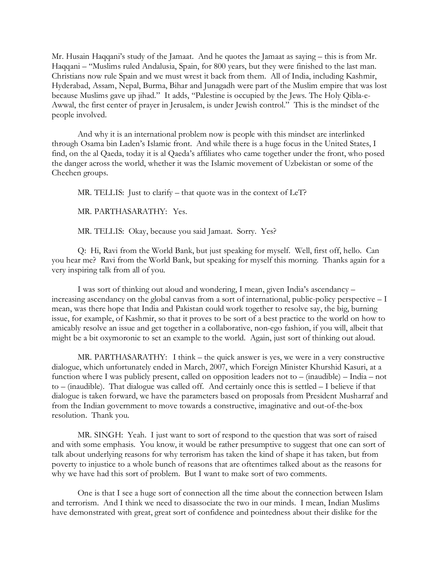Mr. Husain Haqqani's study of the Jamaat. And he quotes the Jamaat as saying – this is from Mr. Haqqani – "Muslims ruled Andalusia, Spain, for 800 years, but they were finished to the last man. Christians now rule Spain and we must wrest it back from them. All of India, including Kashmir, Hyderabad, Assam, Nepal, Burma, Bihar and Junagadh were part of the Muslim empire that was lost because Muslims gave up jihad." It adds, "Palestine is occupied by the Jews. The Holy Qibla-e-Awwal, the first center of prayer in Jerusalem, is under Jewish control." This is the mindset of the people involved.

And why it is an international problem now is people with this mindset are interlinked through Osama bin Laden's Islamic front. And while there is a huge focus in the United States, I find, on the al Qaeda, today it is al Qaeda's affiliates who came together under the front, who posed the danger across the world, whether it was the Islamic movement of Uzbekistan or some of the Chechen groups.

MR. TELLIS: Just to clarify – that quote was in the context of LeT?

MR. PARTHASARATHY: Yes.

MR. TELLIS: Okay, because you said Jamaat. Sorry. Yes?

Q: Hi, Ravi from the World Bank, but just speaking for myself. Well, first off, hello. Can you hear me? Ravi from the World Bank, but speaking for myself this morning. Thanks again for a very inspiring talk from all of you.

I was sort of thinking out aloud and wondering, I mean, given India's ascendancy – increasing ascendancy on the global canvas from a sort of international, public-policy perspective – I mean, was there hope that India and Pakistan could work together to resolve say, the big, burning issue, for example, of Kashmir, so that it proves to be sort of a best practice to the world on how to amicably resolve an issue and get together in a collaborative, non-ego fashion, if you will, albeit that might be a bit oxymoronic to set an example to the world. Again, just sort of thinking out aloud.

MR. PARTHASARATHY: I think – the quick answer is yes, we were in a very constructive dialogue, which unfortunately ended in March, 2007, which Foreign Minister Khurshid Kasuri, at a function where I was publicly present, called on opposition leaders not to – (inaudible) – India – not to – (inaudible). That dialogue was called off. And certainly once this is settled – I believe if that dialogue is taken forward, we have the parameters based on proposals from President Musharraf and from the Indian government to move towards a constructive, imaginative and out-of-the-box resolution. Thank you.

MR. SINGH: Yeah. I just want to sort of respond to the question that was sort of raised and with some emphasis. You know, it would be rather presumptive to suggest that one can sort of talk about underlying reasons for why terrorism has taken the kind of shape it has taken, but from poverty to injustice to a whole bunch of reasons that are oftentimes talked about as the reasons for why we have had this sort of problem. But I want to make sort of two comments.

One is that I see a huge sort of connection all the time about the connection between Islam and terrorism. And I think we need to disassociate the two in our minds. I mean, Indian Muslims have demonstrated with great, great sort of confidence and pointedness about their dislike for the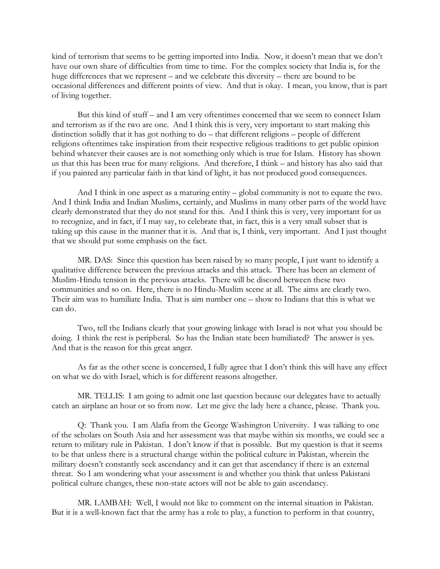kind of terrorism that seems to be getting imported into India. Now, it doesn't mean that we don't have our own share of difficulties from time to time. For the complex society that India is, for the huge differences that we represent – and we celebrate this diversity – there are bound to be occasional differences and different points of view. And that is okay. I mean, you know, that is part of living together.

But this kind of stuff – and I am very oftentimes concerned that we seem to connect Islam and terrorism as if the two are one. And I think this is very, very important to start making this distinction solidly that it has got nothing to do – that different religions – people of different religions oftentimes take inspiration from their respective religious traditions to get public opinion behind whatever their causes are is not something only which is true for Islam. History has shown us that this has been true for many religions. And therefore, I think – and history has also said that if you painted any particular faith in that kind of light, it has not produced good consequences.

And I think in one aspect as a maturing entity – global community is not to equate the two. And I think India and Indian Muslims, certainly, and Muslims in many other parts of the world have clearly demonstrated that they do not stand for this. And I think this is very, very important for us to recognize, and in fact, if I may say, to celebrate that, in fact, this is a very small subset that is taking up this cause in the manner that it is. And that is, I think, very important. And I just thought that we should put some emphasis on the fact.

MR. DAS: Since this question has been raised by so many people, I just want to identify a qualitative difference between the previous attacks and this attack. There has been an element of Muslim-Hindu tension in the previous attacks. There will be discord between these two communities and so on. Here, there is no Hindu-Muslim scene at all. The aims are clearly two. Their aim was to humiliate India. That is aim number one – show to Indians that this is what we can do.

Two, tell the Indians clearly that your growing linkage with Israel is not what you should be doing. I think the rest is peripheral. So has the Indian state been humiliated? The answer is yes. And that is the reason for this great anger.

As far as the other scene is concerned, I fully agree that I don't think this will have any effect on what we do with Israel, which is for different reasons altogether.

MR. TELLIS: I am going to admit one last question because our delegates have to actually catch an airplane an hour or so from now. Let me give the lady here a chance, please. Thank you.

Q: Thank you. I am Alafia from the George Washington University. I was talking to one of the scholars on South Asia and her assessment was that maybe within six months, we could see a return to military rule in Pakistan. I don't know if that is possible. But my question is that it seems to be that unless there is a structural change within the political culture in Pakistan, wherein the military doesn't constantly seek ascendancy and it can get that ascendancy if there is an external threat. So I am wondering what your assessment is and whether you think that unless Pakistani political culture changes, these non-state actors will not be able to gain ascendancy.

MR. LAMBAH: Well, I would not like to comment on the internal situation in Pakistan. But it is a well-known fact that the army has a role to play, a function to perform in that country,